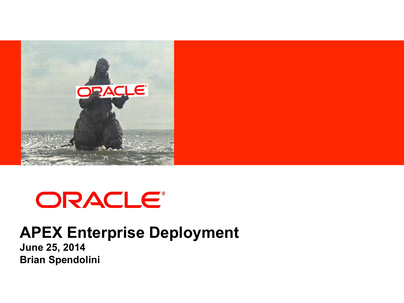

# ORACLE®

## **APEX Enterprise Deployment**

**June 25, 2014 Brian Spendolini**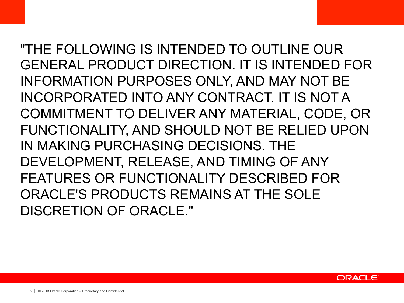"THE FOLLOWING IS INTENDED TO OUTLINE OUR GENERAL PRODUCT DIRECTION. IT IS INTENDED FOR INFORMATION PURPOSES ONLY, AND MAY NOT BE INCORPORATED INTO ANY CONTRACT. IT IS NOT A COMMITMENT TO DELIVER ANY MATERIAL, CODE, OR FUNCTIONALITY, AND SHOULD NOT BE RELIED UPON IN MAKING PURCHASING DECISIONS. THE DEVELOPMENT, RELEASE, AND TIMING OF ANY FEATURES OR FUNCTIONALITY DESCRIBED FOR ORACLE'S PRODUCTS REMAINS AT THE SOLE DISCRETION OF ORACLE."

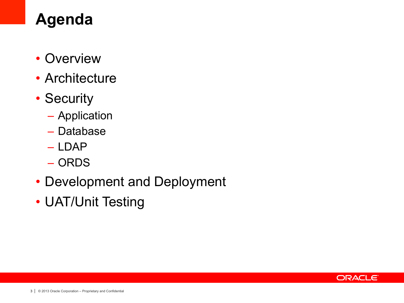# **Agenda**

- Overview
- Architecture
- Security
	- Application
	- Database
	- LDAP
	- ORDS
- Development and Deployment
- UAT/Unit Testing

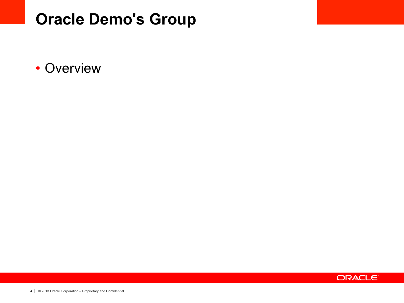## **Oracle Demo's Group**

• Overview

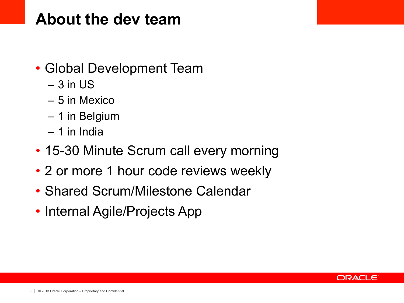#### **About the dev team**

- Global Development Team
	- $-3$  in US
	- 5 in Mexico
	- 1 in Belgium
	- $-1$  in India
- 15-30 Minute Scrum call every morning
- 2 or more 1 hour code reviews weekly
- Shared Scrum/Milestone Calendar
- Internal Agile/Projects App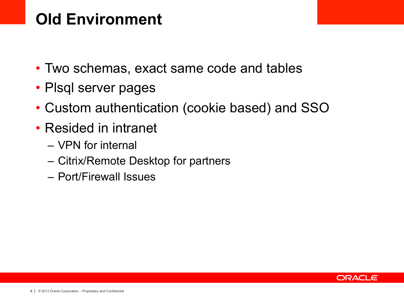# **Old Environment**

- Two schemas, exact same code and tables
- Plsql server pages
- Custom authentication (cookie based) and SSO
- Resided in intranet
	- VPN for internal
	- Citrix/Remote Desktop for partners
	- Port/Firewall Issues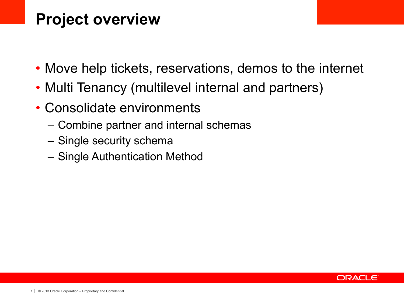## **Project overview**

- Move help tickets, reservations, demos to the internet
- Multi Tenancy (multilevel internal and partners)
- Consolidate environments
	- Combine partner and internal schemas
	- Single security schema
	- Single Authentication Method

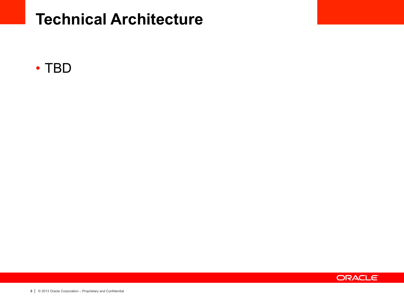#### **Technical Architecture**



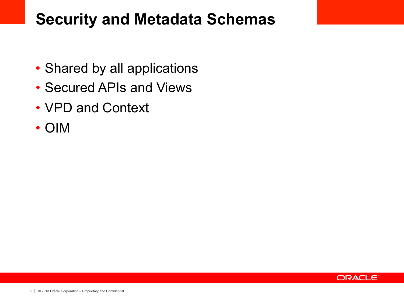## **Security and Metadata Schemas**

- Shared by all applications
- Secured APIs and Views
- VPD and Context
- OIM

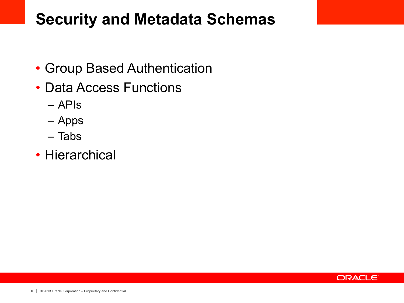## **Security and Metadata Schemas**

- Group Based Authentication
- Data Access Functions
	- APIs
	- Apps
	- Tabs
- Hierarchical

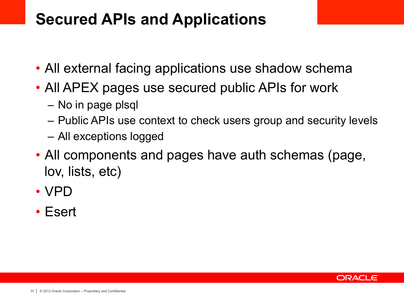## **Secured APIs and Applications**

- All external facing applications use shadow schema
- All APEX pages use secured public APIs for work
	- No in page plsql
	- Public APIs use context to check users group and security levels
	- All exceptions logged
- All components and pages have auth schemas (page, lov, lists, etc)
- VPD
- Esert

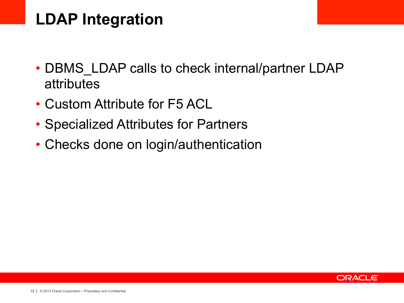# **LDAP Integration**

- DBMS LDAP calls to check internal/partner LDAP attributes
- Custom Attribute for F5 ACL
- Specialized Attributes for Partners
- Checks done on login/authentication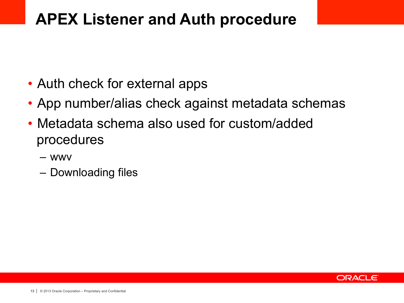## **APEX Listener and Auth procedure**

- Auth check for external apps
- App number/alias check against metadata schemas
- Metadata schema also used for custom/added procedures
	- wwv
	- Downloading files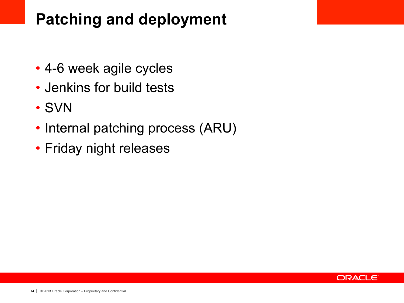# **Patching and deployment**

- 4-6 week agile cycles
- Jenkins for build tests
- SVN
- Internal patching process (ARU)
- Friday night releases

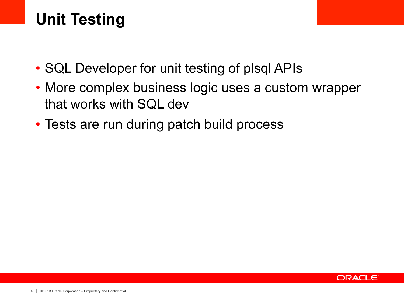# **Unit Testing**

- SQL Developer for unit testing of plsql APIs
- More complex business logic uses a custom wrapper that works with SQL dev
- Tests are run during patch build process

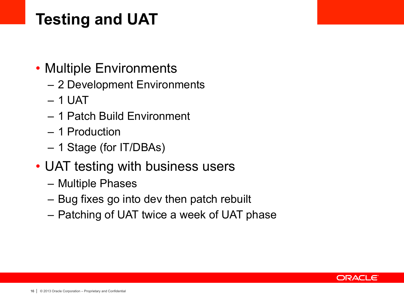# **Testing and UAT**

- Multiple Environments
	- 2 Development Environments
	- $-1$  UAT
	- 1 Patch Build Environment
	- 1 Production
	- 1 Stage (for IT/DBAs)
- UAT testing with business users
	- Multiple Phases
	- Bug fixes go into dev then patch rebuilt
	- Patching of UAT twice a week of UAT phase

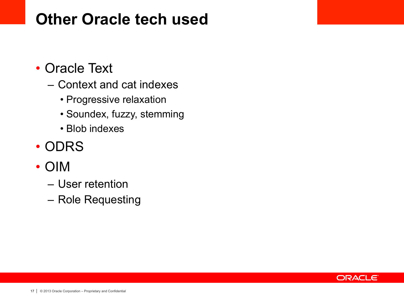## **Other Oracle tech used**

- Oracle Text
	- Context and cat indexes
		- Progressive relaxation
		- Soundex, fuzzy, stemming
		- Blob indexes
- ODRS
- OIM
	- User retention
	- Role Requesting